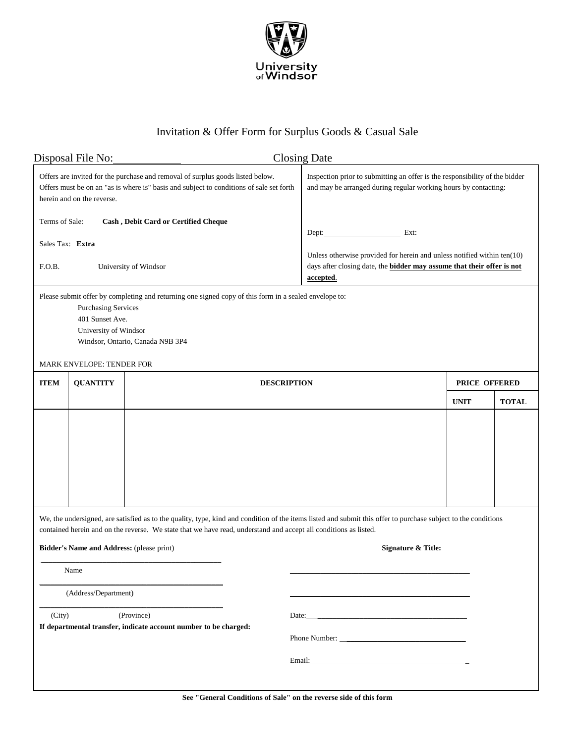

## Invitation & Offer Form for Surplus Goods & Casual Sale

| Disposal File No:                                                                                                                                                                                                                                                                  |                            |                                                                                                                                                                           | <b>Closing Date</b>                                                                                                                                                                      |               |              |
|------------------------------------------------------------------------------------------------------------------------------------------------------------------------------------------------------------------------------------------------------------------------------------|----------------------------|---------------------------------------------------------------------------------------------------------------------------------------------------------------------------|------------------------------------------------------------------------------------------------------------------------------------------------------------------------------------------|---------------|--------------|
|                                                                                                                                                                                                                                                                                    | herein and on the reverse. | Offers are invited for the purchase and removal of surplus goods listed below.<br>Offers must be on an "as is where is" basis and subject to conditions of sale set forth | Inspection prior to submitting an offer is the responsibility of the bidder<br>and may be arranged during regular working hours by contacting:                                           |               |              |
| Terms of Sale:<br>Sales Tax: Extra<br>F.O.B.                                                                                                                                                                                                                                       |                            | Cash, Debit Card or Certified Cheque<br>University of Windsor<br>Please submit offer by completing and returning one signed copy of this form in a sealed envelope to:    | Ext:<br>Dept:<br>Unless otherwise provided for herein and unless notified within $ten(10)$<br>days after closing date, the <b>bidder may assume that their offer is not</b><br>accepted. |               |              |
| <b>Purchasing Services</b><br>401 Sunset Ave.                                                                                                                                                                                                                                      |                            |                                                                                                                                                                           |                                                                                                                                                                                          |               |              |
| University of Windsor                                                                                                                                                                                                                                                              |                            |                                                                                                                                                                           |                                                                                                                                                                                          |               |              |
| Windsor, Ontario, Canada N9B 3P4                                                                                                                                                                                                                                                   |                            |                                                                                                                                                                           |                                                                                                                                                                                          |               |              |
| <b>MARK ENVELOPE: TENDER FOR</b>                                                                                                                                                                                                                                                   |                            |                                                                                                                                                                           |                                                                                                                                                                                          |               |              |
| <b>ITEM</b>                                                                                                                                                                                                                                                                        | <b>QUANTITY</b>            | <b>DESCRIPTION</b>                                                                                                                                                        |                                                                                                                                                                                          | PRICE OFFERED |              |
|                                                                                                                                                                                                                                                                                    |                            |                                                                                                                                                                           |                                                                                                                                                                                          | <b>UNIT</b>   | <b>TOTAL</b> |
|                                                                                                                                                                                                                                                                                    |                            |                                                                                                                                                                           |                                                                                                                                                                                          |               |              |
| We, the undersigned, are satisfied as to the quality, type, kind and condition of the items listed and submit this offer to purchase subject to the conditions<br>contained herein and on the reverse. We state that we have read, understand and accept all conditions as listed. |                            |                                                                                                                                                                           |                                                                                                                                                                                          |               |              |
| Bidder's Name and Address: (please print)<br>Signature & Title:                                                                                                                                                                                                                    |                            |                                                                                                                                                                           |                                                                                                                                                                                          |               |              |
| Name                                                                                                                                                                                                                                                                               |                            |                                                                                                                                                                           |                                                                                                                                                                                          |               |              |
| (Address/Department)                                                                                                                                                                                                                                                               |                            |                                                                                                                                                                           |                                                                                                                                                                                          |               |              |
| (City)<br>(Province)                                                                                                                                                                                                                                                               |                            |                                                                                                                                                                           | Date: $\qquad \qquad$                                                                                                                                                                    |               |              |
| If departmental transfer, indicate account number to be charged:                                                                                                                                                                                                                   |                            |                                                                                                                                                                           | Phone Number:                                                                                                                                                                            |               |              |
|                                                                                                                                                                                                                                                                                    |                            |                                                                                                                                                                           | Email:                                                                                                                                                                                   |               |              |
|                                                                                                                                                                                                                                                                                    |                            |                                                                                                                                                                           |                                                                                                                                                                                          |               |              |